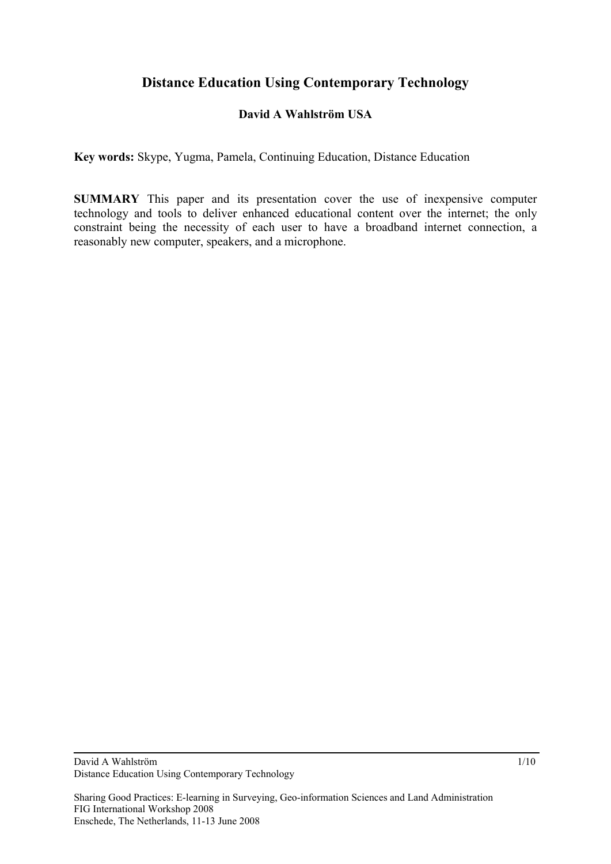# **Distance Education Using Contemporary Technology**

# **David A Wahlström USA**

**Key words:** Skype, Yugma, Pamela, Continuing Education, Distance Education

**SUMMARY** This paper and its presentation cover the use of inexpensive computer technology and tools to deliver enhanced educational content over the internet; the only constraint being the necessity of each user to have a broadband internet connection, a reasonably new computer, speakers, and a microphone.

David A Wahlström 1/10 Distance Education Using Contemporary Technology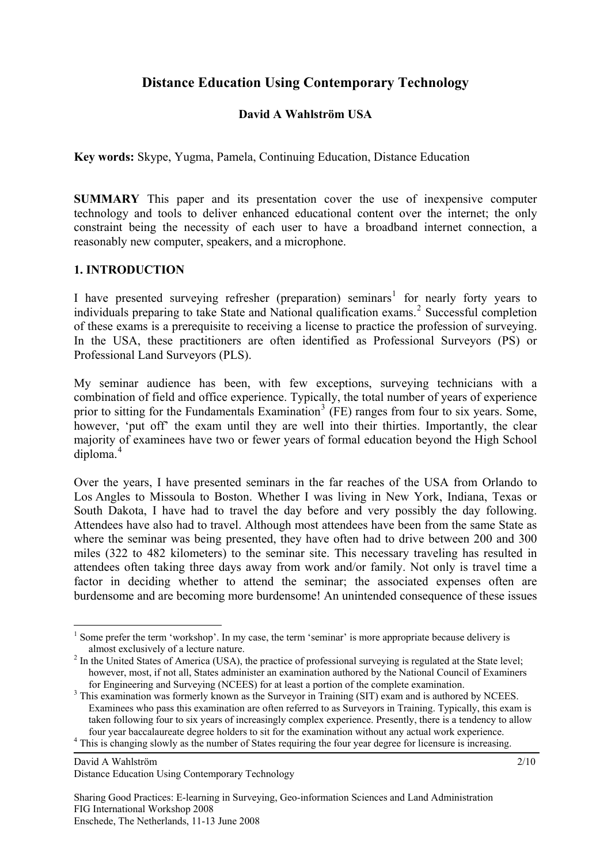# **Distance Education Using Contemporary Technology**

# **David A Wahlström USA**

**Key words:** Skype, Yugma, Pamela, Continuing Education, Distance Education

**SUMMARY** This paper and its presentation cover the use of inexpensive computer technology and tools to deliver enhanced educational content over the internet; the only constraint being the necessity of each user to have a broadband internet connection, a reasonably new computer, speakers, and a microphone.

#### **1. INTRODUCTION**

1

I have presented surveying refresher (preparation) seminars<sup>[1](#page-1-0)</sup> for nearly forty years to individuals preparing to take State and National qualification exams.<sup>[2](#page-1-1)</sup> Successful completion of these exams is a prerequisite to receiving a license to practice the profession of surveying. In the USA, these practitioners are often identified as Professional Surveyors (PS) or Professional Land Surveyors (PLS).

My seminar audience has been, with few exceptions, surveying technicians with a combination of field and office experience. Typically, the total number of years of experience prior to sitting for the Fundamentals Examination<sup>[3](#page-1-2)</sup> (FE) ranges from four to six years. Some, however, 'put off' the exam until they are well into their thirties. Importantly, the clear majority of examinees have two or fewer years of formal education beyond the High School diploma.[4](#page-1-3)

Over the years, I have presented seminars in the far reaches of the USA from Orlando to Los Angles to Missoula to Boston. Whether I was living in New York, Indiana, Texas or South Dakota, I have had to travel the day before and very possibly the day following. Attendees have also had to travel. Although most attendees have been from the same State as where the seminar was being presented, they have often had to drive between 200 and 300 miles (322 to 482 kilometers) to the seminar site. This necessary traveling has resulted in attendees often taking three days away from work and/or family. Not only is travel time a factor in deciding whether to attend the seminar; the associated expenses often are burdensome and are becoming more burdensome! An unintended consequence of these issues

<span id="page-1-0"></span><sup>&</sup>lt;sup>1</sup> Some prefer the term 'workshop'. In my case, the term 'seminar' is more appropriate because delivery is almost exclusively of a lecture nature. 2

<span id="page-1-1"></span><sup>&</sup>lt;sup>2</sup> In the United States of America (USA), the practice of professional surveying is regulated at the State level; however, most, if not all, States administer an examination authored by the National Council of Examiners for Engineering and Surveying (NCEES) for at least a portion of the complete examination.

<span id="page-1-2"></span><sup>&</sup>lt;sup>3</sup> This examination was formerly known as the Surveyor in Training (SIT) exam and is authored by NCEES. Examinees who pass this examination are often referred to as Surveyors in Training. Typically, this exam is taken following four to six years of increasingly complex experience. Presently, there is a tendency to allow four year baccalaureate degree holders to sit for the examination without any actual work experience. 4

<span id="page-1-3"></span><sup>&</sup>lt;sup>4</sup> This is changing slowly as the number of States requiring the four year degree for licensure is increasing.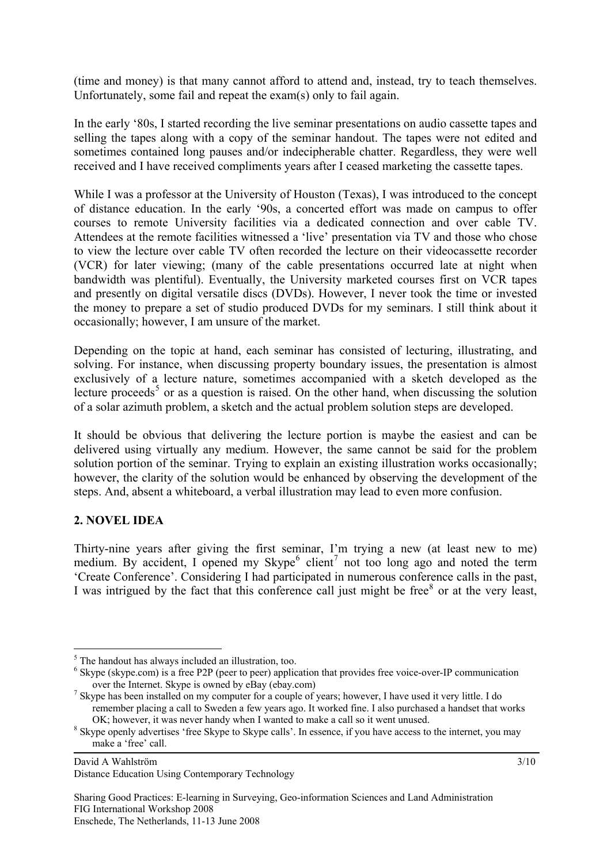(time and money) is that many cannot afford to attend and, instead, try to teach themselves. Unfortunately, some fail and repeat the exam(s) only to fail again.

In the early '80s, I started recording the live seminar presentations on audio cassette tapes and selling the tapes along with a copy of the seminar handout. The tapes were not edited and sometimes contained long pauses and/or indecipherable chatter. Regardless, they were well received and I have received compliments years after I ceased marketing the cassette tapes.

While I was a professor at the University of Houston (Texas), I was introduced to the concept of distance education. In the early '90s, a concerted effort was made on campus to offer courses to remote University facilities via a dedicated connection and over cable TV. Attendees at the remote facilities witnessed a 'live' presentation via TV and those who chose to view the lecture over cable TV often recorded the lecture on their videocassette recorder (VCR) for later viewing; (many of the cable presentations occurred late at night when bandwidth was plentiful). Eventually, the University marketed courses first on VCR tapes and presently on digital versatile discs (DVDs). However, I never took the time or invested the money to prepare a set of studio produced DVDs for my seminars. I still think about it occasionally; however, I am unsure of the market.

Depending on the topic at hand, each seminar has consisted of lecturing, illustrating, and solving. For instance, when discussing property boundary issues, the presentation is almost exclusively of a lecture nature, sometimes accompanied with a sketch developed as the lecture proceeds<sup>[5](#page-2-0)</sup> or as a question is raised. On the other hand, when discussing the solution of a solar azimuth problem, a sketch and the actual problem solution steps are developed.

It should be obvious that delivering the lecture portion is maybe the easiest and can be delivered using virtually any medium. However, the same cannot be said for the problem solution portion of the seminar. Trying to explain an existing illustration works occasionally; however, the clarity of the solution would be enhanced by observing the development of the steps. And, absent a whiteboard, a verbal illustration may lead to even more confusion.

## **2. NOVEL IDEA**

1

Thirty-nine years after giving the first seminar, I'm trying a new (at least new to me) medium. By accident, I opened my  $\text{Skype}^6$  $\text{Skype}^6$  client<sup>[7](#page-2-2)</sup> not too long ago and noted the term 'Create Conference'. Considering I had participated in numerous conference calls in the past, I was intrigued by the fact that this conference call just might be free $8$  or at the very least,

David A Wahlström 3/10 Distance Education Using Contemporary Technology

<span id="page-2-0"></span><sup>&</sup>lt;sup>5</sup> The handout has always included an illustration, too.

<span id="page-2-1"></span><sup>&</sup>lt;sup>6</sup> Skype (skype.com) is a free P2P (peer to peer) application that provides free voice-over-IP communication over the Internet. Skype is owned by eBay (ebay.com) 7

<span id="page-2-2"></span><sup>&</sup>lt;sup>7</sup> Skype has been installed on my computer for a couple of years; however, I have used it very little. I do remember placing a call to Sweden a few years ago. It worked fine. I also purchased a handset that works OK; however, it was never handy when I wanted to make a call so it went unused.

<span id="page-2-3"></span><sup>&</sup>lt;sup>8</sup> Skype openly advertises 'free Skype to Skype calls'. In essence, if you have access to the internet, you may make a 'free' call.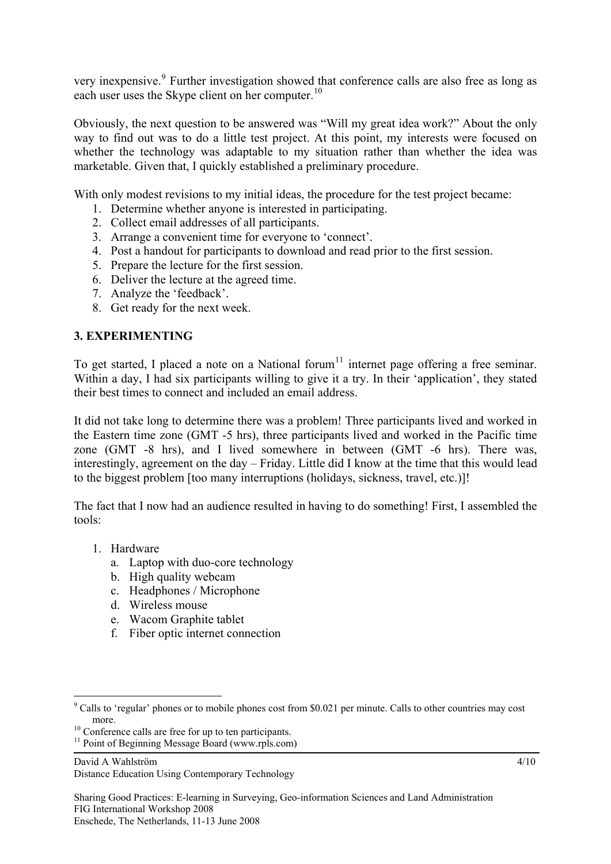very inexpensive.<sup>[9](#page-3-0)</sup> Further investigation showed that conference calls are also free as long as each user uses the Skype client on her computer. $^{10}$ 

Obviously, the next question to be answered was "Will my great idea work?" About the only way to find out was to do a little test project. At this point, my interests were focused on whether the technology was adaptable to my situation rather than whether the idea was marketable. Given that, I quickly established a preliminary procedure.

With only modest revisions to my initial ideas, the procedure for the test project became:

- 1. Determine whether anyone is interested in participating.
- 2. Collect email addresses of all participants.
- 3. Arrange a convenient time for everyone to 'connect'.
- 4. Post a handout for participants to download and read prior to the first session.
- 5. Prepare the lecture for the first session.
- 6. Deliver the lecture at the agreed time.
- 7. Analyze the 'feedback'.
- 8. Get ready for the next week.

#### **3. EXPERIMENTING**

To get started, I placed a note on a National forum<sup>[11](#page-3-1)</sup> internet page offering a free seminar. Within a day. I had six participants willing to give it a try. In their 'application', they stated their best times to connect and included an email address.

It did not take long to determine there was a problem! Three participants lived and worked in the Eastern time zone (GMT -5 hrs), three participants lived and worked in the Pacific time zone (GMT -8 hrs), and I lived somewhere in between (GMT -6 hrs). There was, interestingly, agreement on the day – Friday. Little did I know at the time that this would lead to the biggest problem [too many interruptions (holidays, sickness, travel, etc.)]!

The fact that I now had an audience resulted in having to do something! First, I assembled the tools:

- 1. Hardware
	- a. Laptop with duo-core technology
	- b. High quality webcam
	- c. Headphones / Microphone
	- d. Wireless mouse
	- e. Wacom Graphite tablet
	- f. Fiber optic internet connection

1

<span id="page-3-0"></span><sup>&</sup>lt;sup>9</sup> Calls to 'regular' phones or to mobile phones cost from \$0.021 per minute. Calls to other countries may cost more.<br><sup>10</sup> Conference calls are free for up to ten participants.<br><sup>11</sup> Point of Beginning Message Board (www.rpls.com)

<span id="page-3-1"></span>

David A Wahlström 4/10

Distance Education Using Contemporary Technology

Sharing Good Practices: E-learning in Surveying, Geo-information Sciences and Land Administration FIG International Workshop 2008 Enschede, The Netherlands, 11-13 June 2008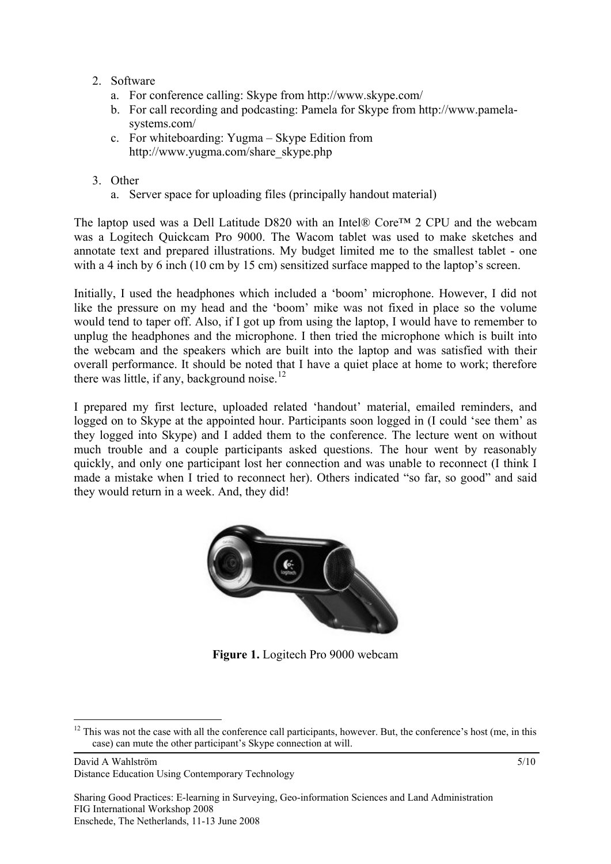- 2. Software
	- a. For conference calling: Skype from http://www.skype.com/
	- b. For call recording and podcasting: Pamela for Skype from http://www.pamelasystems.com/
	- c. For whiteboarding: Yugma Skype Edition from http://www.yugma.com/share\_skype.php
- 3. Other
	- a. Server space for uploading files (principally handout material)

The laptop used was a Dell Latitude D820 with an Intel® Core™ 2 CPU and the webcam was a Logitech Quickcam Pro 9000. The Wacom tablet was used to make sketches and annotate text and prepared illustrations. My budget limited me to the smallest tablet - one with a 4 inch by 6 inch (10 cm by 15 cm) sensitized surface mapped to the laptop's screen.

Initially, I used the headphones which included a 'boom' microphone. However, I did not like the pressure on my head and the 'boom' mike was not fixed in place so the volume would tend to taper off. Also, if I got up from using the laptop. I would have to remember to unplug the headphones and the microphone. I then tried the microphone which is built into the webcam and the speakers which are built into the laptop and was satisfied with their overall performance. It should be noted that I have a quiet place at home to work; therefore there was little, if any, background noise.<sup>[12](#page-4-0)</sup>

I prepared my first lecture, uploaded related 'handout' material, emailed reminders, and logged on to Skype at the appointed hour. Participants soon logged in (I could 'see them' as they logged into Skype) and I added them to the conference. The lecture went on without much trouble and a couple participants asked questions. The hour went by reasonably quickly, and only one participant lost her connection and was unable to reconnect (I think I made a mistake when I tried to reconnect her). Others indicated "so far, so good" and said they would return in a week. And, they did!



**Figure 1.** Logitech Pro 9000 webcam

David A Wahlström 5/10 Distance Education Using Contemporary Technology

<u>.</u>

<span id="page-4-0"></span> $12$  This was not the case with all the conference call participants, however. But, the conference's host (me, in this case) can mute the other participant's Skype connection at will.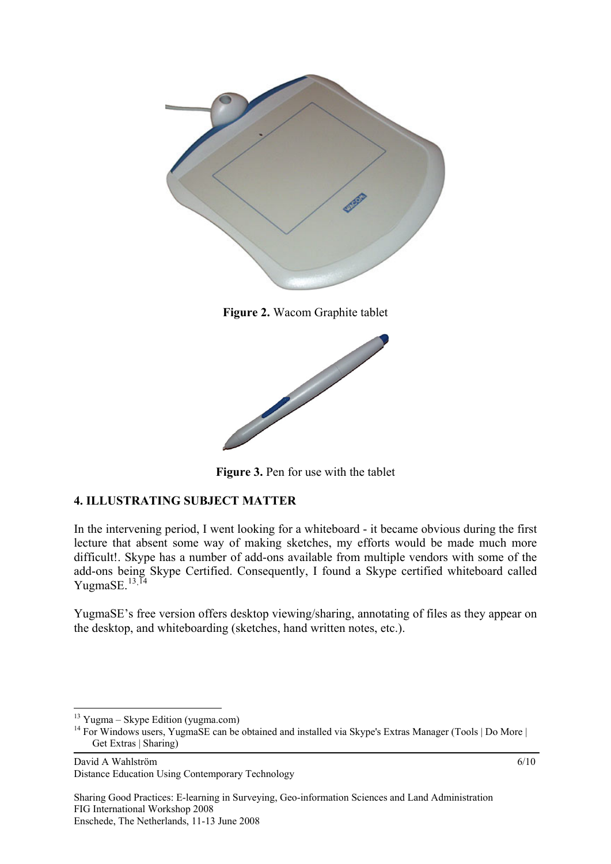

**Figure 2.** Wacom Graphite tablet



**Figure 3.** Pen for use with the tablet

## **4. ILLUSTRATING SUBJECT MATTER**

In the intervening period, I went looking for a whiteboard - it became obvious during the first lecture that absent some way of making sketches, my efforts would be made much more difficult!. Skype has a number of add-ons available from multiple vendors with some of the add-ons being Skype Certified. Consequently, I found a Skype certified whiteboard called YugmaSE. $^{13,\overline{1}4}$  $^{13,\overline{1}4}$  $^{13,\overline{1}4}$ 

YugmaSE's free version offers desktop viewing/sharing, annotating of files as they appear on the desktop, and whiteboarding (sketches, hand written notes, etc.).

1

David A Wahlström 6/10 Distance Education Using Contemporary Technology

 $13$  Yugma – Skype Edition (yugma.com)

<span id="page-5-1"></span><span id="page-5-0"></span><sup>&</sup>lt;sup>14</sup> For Windows users, YugmaSE can be obtained and installed via Skype's Extras Manager (Tools | Do More | Get Extras | Sharing)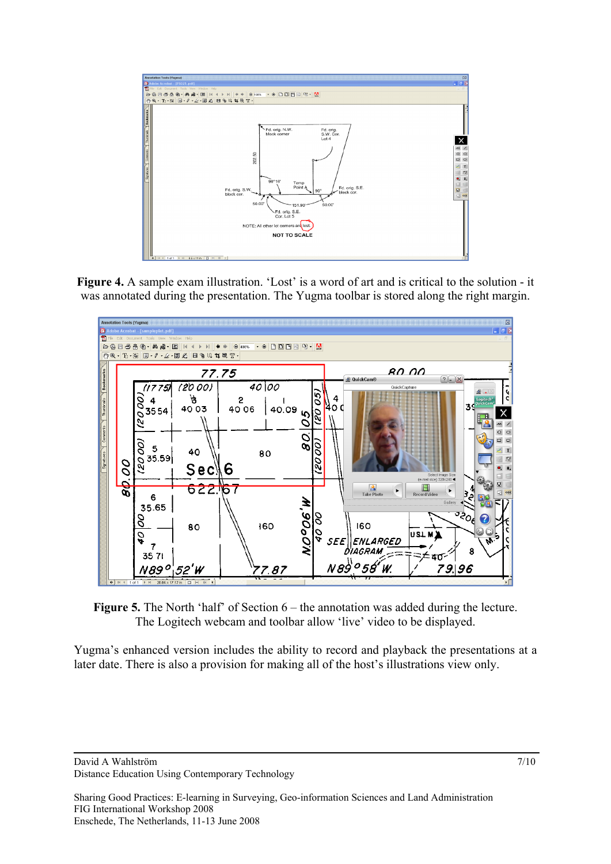

**Figure 4.** A sample exam illustration. 'Lost' is a word of art and is critical to the solution - it was annotated during the presentation. The Yugma toolbar is stored along the right margin.



**Figure 5.** The North 'half' of Section 6 – the annotation was added during the lecture. The Logitech webcam and toolbar allow 'live' video to be displayed.

Yugma's enhanced version includes the ability to record and playback the presentations at a later date. There is also a provision for making all of the host's illustrations view only.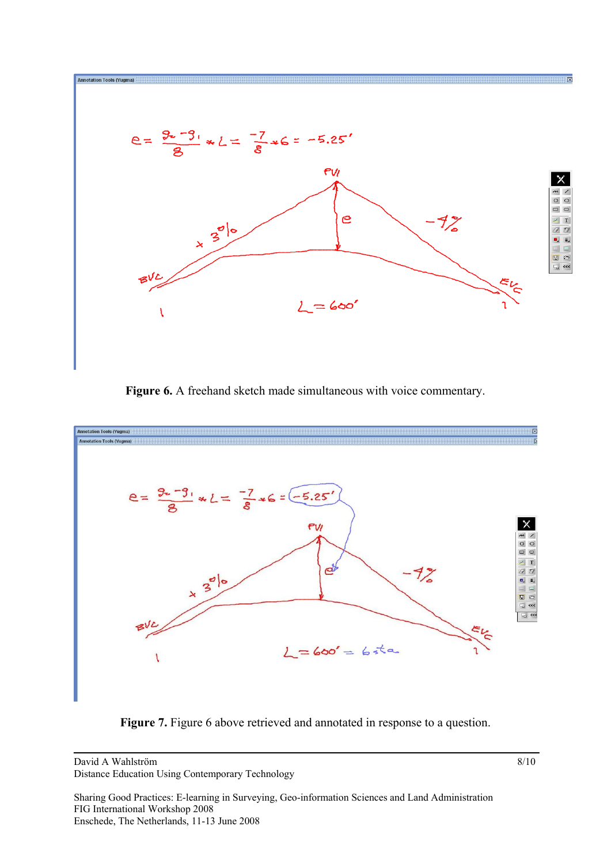

**Figure 6.** A freehand sketch made simultaneous with voice commentary.



**Figure 7.** Figure 6 above retrieved and annotated in response to a question.

David A Wahlström 8/10 Distance Education Using Contemporary Technology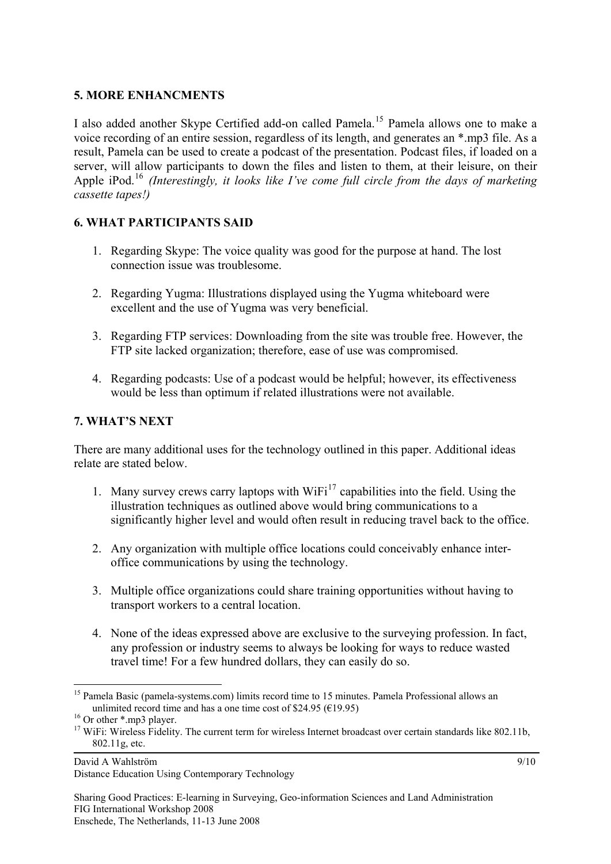## **5. MORE ENHANCMENTS**

I also added another Skype Certified add-on called Pamela.[15](#page-8-0) Pamela allows one to make a voice recording of an entire session, regardless of its length, and generates an \*.mp3 file. As a result, Pamela can be used to create a podcast of the presentation. Podcast files, if loaded on a server, will allow participants to down the files and listen to them, at their leisure, on their Apple iPod.<sup>[16](#page-8-1)</sup> *(Interestingly, it looks like I've come full circle from the days of marketing cassette tapes!)*

## **6. WHAT PARTICIPANTS SAID**

- 1. Regarding Skype: The voice quality was good for the purpose at hand. The lost connection issue was troublesome.
- 2. Regarding Yugma: Illustrations displayed using the Yugma whiteboard were excellent and the use of Yugma was very beneficial.
- 3. Regarding FTP services: Downloading from the site was trouble free. However, the FTP site lacked organization; therefore, ease of use was compromised.
- 4. Regarding podcasts: Use of a podcast would be helpful; however, its effectiveness would be less than optimum if related illustrations were not available.

#### **7. WHAT'S NEXT**

There are many additional uses for the technology outlined in this paper. Additional ideas relate are stated below.

- 1. Many survey crews carry laptops with  $W_iF_i^{17}$  $W_iF_i^{17}$  $W_iF_i^{17}$  capabilities into the field. Using the illustration techniques as outlined above would bring communications to a significantly higher level and would often result in reducing travel back to the office.
- 2. Any organization with multiple office locations could conceivably enhance interoffice communications by using the technology.
- 3. Multiple office organizations could share training opportunities without having to transport workers to a central location.
- 4. None of the ideas expressed above are exclusive to the surveying profession. In fact, any profession or industry seems to always be looking for ways to reduce wasted travel time! For a few hundred dollars, they can easily do so.

<u>.</u>

```
David A Wahlström 9/10
```
<span id="page-8-0"></span><sup>&</sup>lt;sup>15</sup> Pamela Basic (pamela-systems.com) limits record time to 15 minutes. Pamela Professional allows an unlimited record time and has a one time cost of \$24.95 ( $\epsilon$ 19.95) <sup>16</sup> Or other \*.mp3 player.

<span id="page-8-2"></span><span id="page-8-1"></span><sup>&</sup>lt;sup>17</sup> WiFi: Wireless Fidelity. The current term for wireless Internet broadcast over certain standards like 802.11b, 802.11g, etc.

Distance Education Using Contemporary Technology